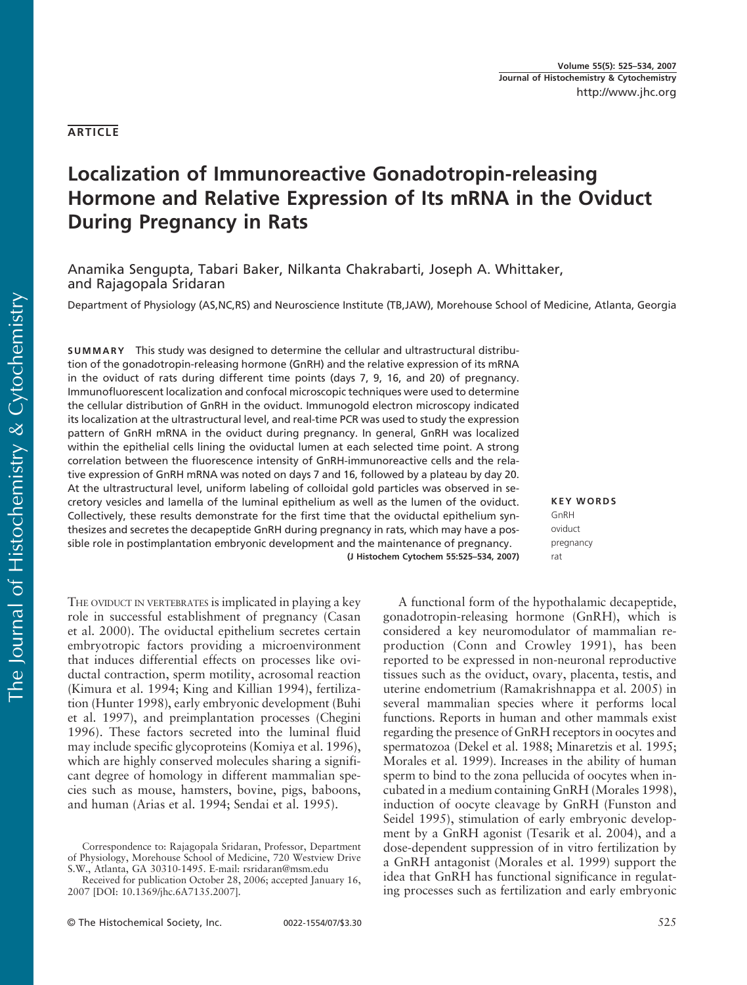# Localization of Immunoreactive Gonadotropin-releasing Hormone and Relative Expression of Its mRNA in the Oviduct During Pregnancy in Rats

Anamika Sengupta, Tabari Baker, Nilkanta Chakrabarti, Joseph A. Whittaker, and Rajagopala Sridaran

Department of Physiology (AS,NC,RS) and Neuroscience Institute (TB,JAW), Morehouse School of Medicine, Atlanta, Georgia

SUMMARY This study was designed to determine the cellular and ultrastructural distribution of the gonadotropin-releasing hormone (GnRH) and the relative expression of its mRNA in the oviduct of rats during different time points (days 7, 9, 16, and 20) of pregnancy. Immunofluorescent localization and confocal microscopic techniques were used to determine the cellular distribution of GnRH in the oviduct. Immunogold electron microscopy indicated its localization at the ultrastructural level, and real-time PCR was used to study the expression pattern of GnRH mRNA in the oviduct during pregnancy. In general, GnRH was localized within the epithelial cells lining the oviductal lumen at each selected time point. A strong correlation between the fluorescence intensity of GnRH-immunoreactive cells and the relative expression of GnRH mRNA was noted on days 7 and 16, followed by a plateau by day 20. At the ultrastructural level, uniform labeling of colloidal gold particles was observed in secretory vesicles and lamella of the luminal epithelium as well as the lumen of the oviduct. Collectively, these results demonstrate for the first time that the oviductal epithelium synthesizes and secretes the decapeptide GnRH during pregnancy in rats, which may have a possible role in postimplantation embryonic development and the maintenance of pregnancy. (J Histochem Cytochem 55:525–534, 2007)

KEY WORDS GnRH oviduct pregnancy rat

THE OVIDUCT IN VERTEBRATES is implicated in playing a key role in successful establishment of pregnancy (Casan et al. 2000). The oviductal epithelium secretes certain embryotropic factors providing a microenvironment that induces differential effects on processes like oviductal contraction, sperm motility, acrosomal reaction (Kimura et al. 1994; King and Killian 1994), fertilization (Hunter 1998), early embryonic development (Buhi et al. 1997), and preimplantation processes (Chegini 1996). These factors secreted into the luminal fluid may include specific glycoproteins (Komiya et al. 1996), which are highly conserved molecules sharing a significant degree of homology in different mammalian species such as mouse, hamsters, bovine, pigs, baboons, and human (Arias et al. 1994; Sendai et al. 1995).

A functional form of the hypothalamic decapeptide, gonadotropin-releasing hormone (GnRH), which is considered a key neuromodulator of mammalian reproduction (Conn and Crowley 1991), has been reported to be expressed in non-neuronal reproductive tissues such as the oviduct, ovary, placenta, testis, and uterine endometrium (Ramakrishnappa et al. 2005) in several mammalian species where it performs local functions. Reports in human and other mammals exist regarding the presence of GnRH receptors in oocytes and spermatozoa (Dekel et al. 1988; Minaretzis et al. 1995; Morales et al. 1999). Increases in the ability of human sperm to bind to the zona pellucida of oocytes when incubated in a medium containing GnRH (Morales 1998), induction of oocyte cleavage by GnRH (Funston and Seidel 1995), stimulation of early embryonic development by a GnRH agonist (Tesarik et al. 2004), and a dose-dependent suppression of in vitro fertilization by a GnRH antagonist (Morales et al. 1999) support the idea that GnRH has functional significance in regulating processes such as fertilization and early embryonic

Correspondence to: Rajagopala Sridaran, Professor, Department of Physiology, Morehouse School of Medicine, 720 Westview Drive S.W., Atlanta, GA 30310-1495. E-mail: rsridaran@msm.edu

Received for publication October 28, 2006; accepted January 16, 2007 [DOI: 10.1369/jhc.6A7135.2007].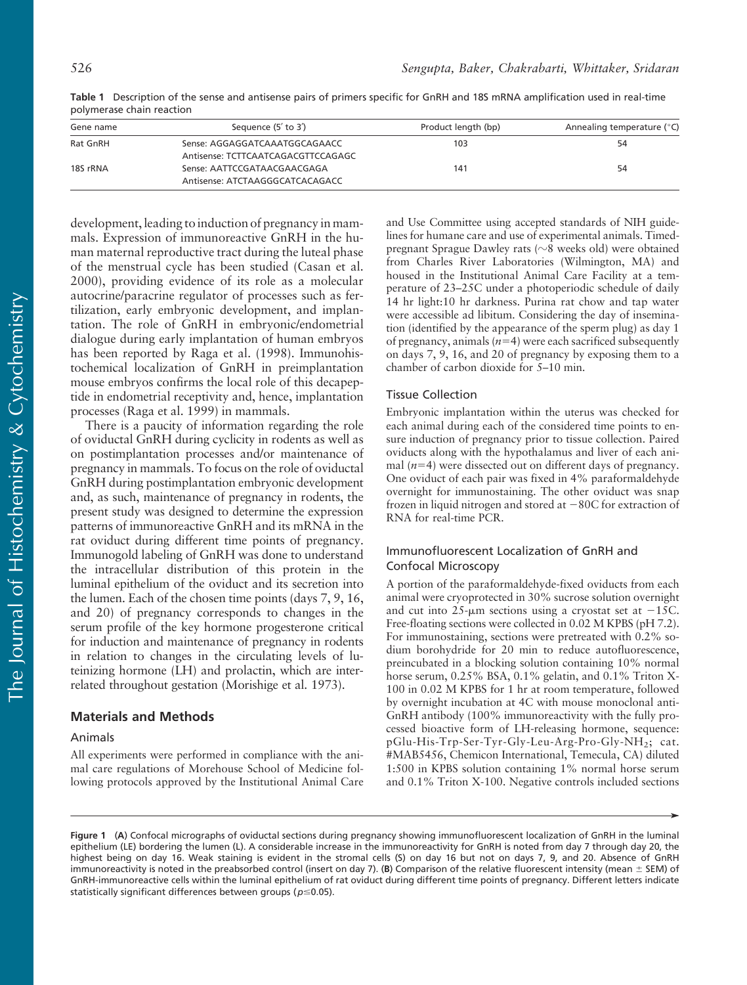| Gene name       | Sequence (5' to 3')                | Product length (bp) | Annealing temperature (°C) |
|-----------------|------------------------------------|---------------------|----------------------------|
| <b>Rat GnRH</b> | Sense: AGGAGGATCAAATGGCAGAACC      | 103                 | 54                         |
|                 | Antisense: TCTTCAATCAGACGTTCCAGAGC |                     |                            |
| 18S rRNA        | Sense: AATTCCGATAACGAACGAGA        | 141                 | 54                         |
|                 | Antisense: ATCTAAGGGCATCACAGACC    |                     |                            |

Table 1 Description of the sense and antisense pairs of primers specific for GnRH and 18S mRNA amplification used in real-time polymerase chain reaction

development, leading to induction of pregnancy in mammals. Expression of immunoreactive GnRH in the human maternal reproductive tract during the luteal phase of the menstrual cycle has been studied (Casan et al. 2000), providing evidence of its role as a molecular autocrine/paracrine regulator of processes such as fertilization, early embryonic development, and implantation. The role of GnRH in embryonic/endometrial dialogue during early implantation of human embryos has been reported by Raga et al. (1998). Immunohistochemical localization of GnRH in preimplantation mouse embryos confirms the local role of this decapeptide in endometrial receptivity and, hence, implantation processes (Raga et al. 1999) in mammals.

There is a paucity of information regarding the role of oviductal GnRH during cyclicity in rodents as well as on postimplantation processes and/or maintenance of pregnancy in mammals. To focus on the role of oviductal GnRH during postimplantation embryonic development and, as such, maintenance of pregnancy in rodents, the present study was designed to determine the expression patterns of immunoreactive GnRH and its mRNA in the rat oviduct during different time points of pregnancy. Immunogold labeling of GnRH was done to understand the intracellular distribution of this protein in the luminal epithelium of the oviduct and its secretion into the lumen. Each of the chosen time points (days 7, 9, 16, and 20) of pregnancy corresponds to changes in the serum profile of the key hormone progesterone critical for induction and maintenance of pregnancy in rodents in relation to changes in the circulating levels of luteinizing hormone (LH) and prolactin, which are interrelated throughout gestation (Morishige et al. 1973).

## Materials and Methods

#### Animals

All experiments were performed in compliance with the animal care regulations of Morehouse School of Medicine following protocols approved by the Institutional Animal Care and Use Committee using accepted standards of NIH guidelines for humane care and use of experimental animals. Timedpregnant Sprague Dawley rats ( $\sim$ 8 weeks old) were obtained from Charles River Laboratories (Wilmington, MA) and housed in the Institutional Animal Care Facility at a temperature of 23–25C under a photoperiodic schedule of daily 14 hr light:10 hr darkness. Purina rat chow and tap water were accessible ad libitum. Considering the day of insemination (identified by the appearance of the sperm plug) as day 1 of pregnancy, animals  $(n=4)$  were each sacrificed subsequently on days 7, 9, 16, and 20 of pregnancy by exposing them to a chamber of carbon dioxide for 5–10 min.

#### Tissue Collection

Embryonic implantation within the uterus was checked for each animal during each of the considered time points to ensure induction of pregnancy prior to tissue collection. Paired oviducts along with the hypothalamus and liver of each animal  $(n=4)$  were dissected out on different days of pregnancy. One oviduct of each pair was fixed in 4% paraformaldehyde overnight for immunostaining. The other oviduct was snap frozen in liquid nitrogen and stored at  $-80C$  for extraction of RNA for real-time PCR.

# Immunofluorescent Localization of GnRH and Confocal Microscopy

A portion of the paraformaldehyde-fixed oviducts from each animal were cryoprotected in 30% sucrose solution overnight and cut into  $25$ - $\mu$ m sections using a cryostat set at  $-15C$ . Free-floating sections were collected in 0.02 M KPBS (pH 7.2). For immunostaining, sections were pretreated with 0.2% sodium borohydride for 20 min to reduce autofluorescence, preincubated in a blocking solution containing 10% normal horse serum, 0.25% BSA, 0.1% gelatin, and 0.1% Triton X-100 in 0.02 M KPBS for 1 hr at room temperature, followed by overnight incubation at 4C with mouse monoclonal anti-GnRH antibody (100% immunoreactivity with the fully processed bioactive form of LH-releasing hormone, sequence: pGlu-His-Trp-Ser-Tyr-Gly-Leu-Arg-Pro-Gly-NH2; cat. #MAB5456, Chemicon International, Temecula, CA) diluted 1:500 in KPBS solution containing 1% normal horse serum and 0.1% Triton X-100. Negative controls included sections

 $\rightarrow$ 

Figure 1 (A) Confocal micrographs of oviductal sections during pregnancy showing immunofluorescent localization of GnRH in the luminal epithelium (LE) bordering the lumen (L). A considerable increase in the immunoreactivity for GnRH is noted from day 7 through day 20, the highest being on day 16. Weak staining is evident in the stromal cells (S) on day 16 but not on days 7, 9, and 20. Absence of GnRH immunoreactivity is noted in the preabsorbed control (insert on day 7). (B) Comparison of the relative fluorescent intensity (mean  $\pm$  SEM) of GnRH-immunoreactive cells within the luminal epithelium of rat oviduct during different time points of pregnancy. Different letters indicate statistically significant differences between groups ( $p \le 0.05$ ).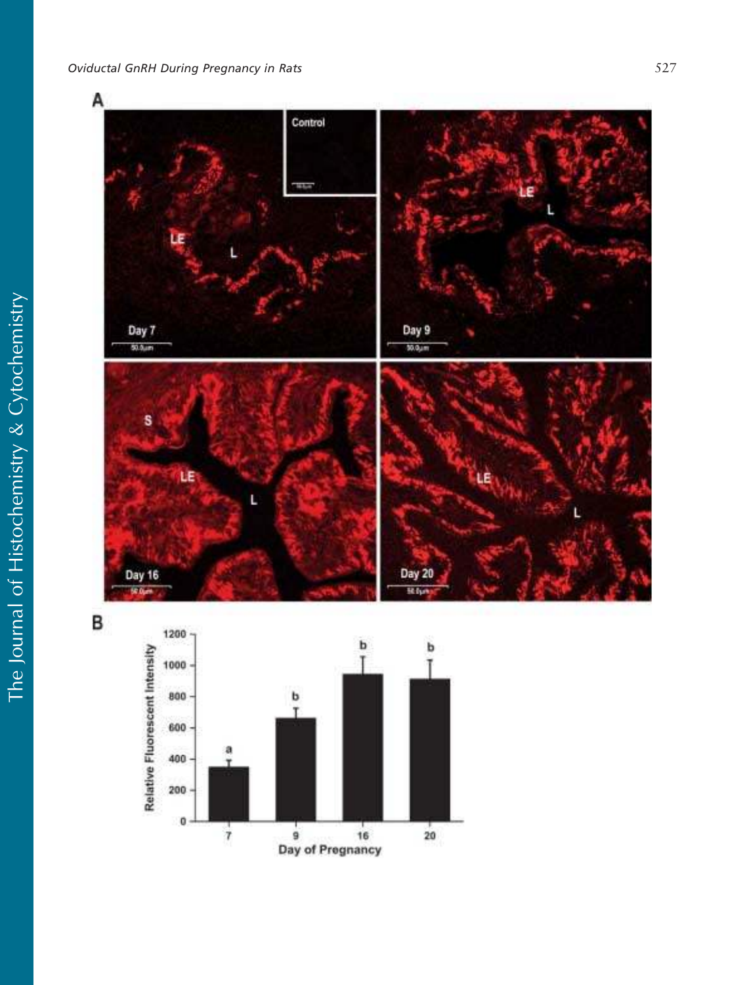



 $\bf{20}$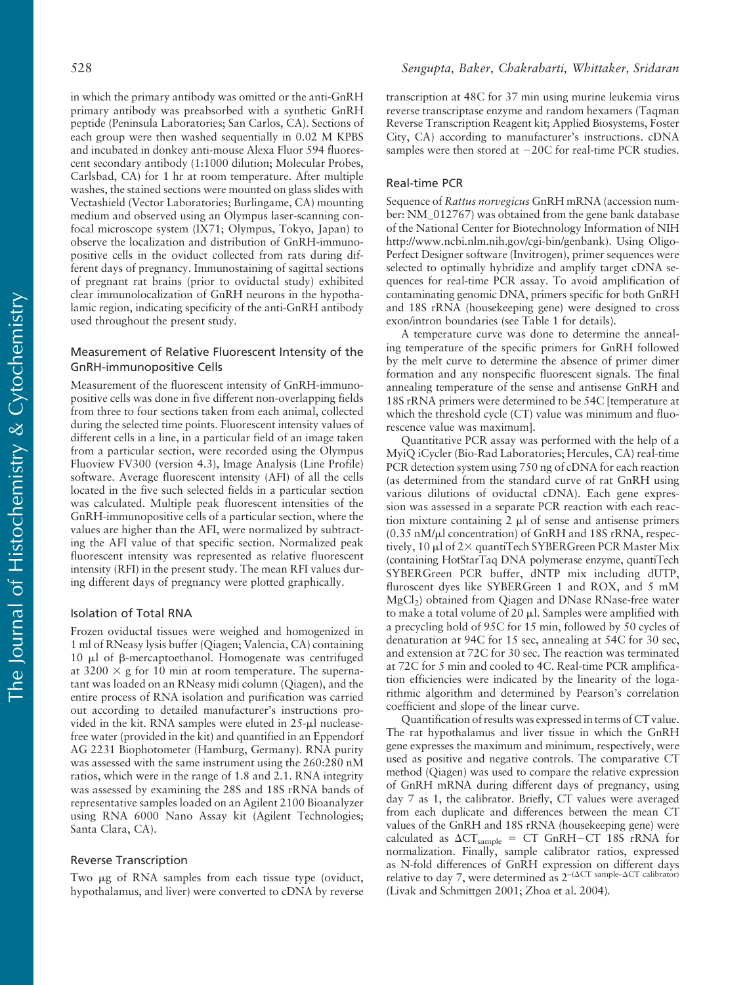in which the primary antibody was omitted or the anti-GnRH primary antibody was preabsorbed with a synthetic GnRH peptide (Peninsula Laboratories; San Carlos, CA). Sections of each group were then washed sequentially in 0.02 M KPBS and incubated in donkey anti-mouse Alexa Fluor 594 fluorescent secondary antibody (1:1000 dilution; Molecular Probes, Carlsbad, CA) for 1 hr at room temperature. After multiple washes, the stained sections were mounted on glass slides with Vectashield (Vector Laboratories; Burlingame, CA) mounting medium and observed using an Olympus laser-scanning confocal microscope system (IX71; Olympus, Tokyo, Japan) to observe the localization and distribution of GnRH-immunopositive cells in the oviduct collected from rats during different days of pregnancy. Immunostaining of sagittal sections of pregnant rat brains (prior to oviductal study) exhibited clear immunolocalization of GnRH neurons in the hypothalamic region, indicating specificity of the anti-GnRH antibody used throughout the present study.

# Measurement of Relative Fluorescent Intensity of the GnRH-immunopositive Cells

Measurement of the fluorescent intensity of GnRH-immunopositive cells was done in five different non-overlapping fields from three to four sections taken from each animal, collected during the selected time points. Fluorescent intensity values of different cells in a line, in a particular field of an image taken from a particular section, were recorded using the Olympus Fluoview FV300 (version 4.3), Image Analysis (Line Profile) software. Average fluorescent intensity (AFI) of all the cells located in the five such selected fields in a particular section was calculated. Multiple peak fluorescent intensities of the GnRH-immunopositive cells of a particular section, where the values are higher than the AFI, were normalized by subtracting the AFI value of that specific section. Normalized peak fluorescent intensity was represented as relative fluorescent intensity (RFI) in the present study. The mean RFI values during different days of pregnancy were plotted graphically.

#### Isolation of Total RNA

Frozen oviductal tissues were weighed and homogenized in 1 ml of RNeasy lysis buffer (Qiagen; Valencia, CA) containing 10 ml of b-mercaptoethanol. Homogenate was centrifuged at  $3200 \times g$  for 10 min at room temperature. The supernatant was loaded on an RNeasy midi column (Qiagen), and the entire process of RNA isolation and purification was carried out according to detailed manufacturer's instructions provided in the kit. RNA samples were eluted in  $25-\mu$ l nucleasefree water (provided in the kit) and quantified in an Eppendorf AG 2231 Biophotometer (Hamburg, Germany). RNA purity was assessed with the same instrument using the 260:280 nM ratios, which were in the range of 1.8 and 2.1. RNA integrity was assessed by examining the 28S and 18S rRNA bands of representative samples loaded on an Agilent 2100 Bioanalyzer using RNA 6000 Nano Assay kit (Agilent Technologies; Santa Clara, CA).

## Reverse Transcription

Two  $\mu$ g of RNA samples from each tissue type (oviduct, hypothalamus, and liver) were converted to cDNA by reverse transcription at 48C for 37 min using murine leukemia virus reverse transcriptase enzyme and random hexamers (Taqman Reverse Transcription Reagent kit; Applied Biosystems, Foster City, CA) according to manufacturer's instructions. cDNA samples were then stored at  $-20C$  for real-time PCR studies.

## Real-time PCR

Sequence of Rattus norvegicus GnRH mRNA (accession number: NM\_012767) was obtained from the gene bank database of the National Center for Biotechnology Information of NIH http://www.ncbi.nlm.nih.gov/cgi-bin/genbank). Using Oligo-Perfect Designer software (Invitrogen), primer sequences were selected to optimally hybridize and amplify target cDNA sequences for real-time PCR assay. To avoid amplification of contaminating genomic DNA, primers specific for both GnRH and 18S rRNA (housekeeping gene) were designed to cross exon/intron boundaries (see Table 1 for details).

A temperature curve was done to determine the annealing temperature of the specific primers for GnRH followed by the melt curve to determine the absence of primer dimer formation and any nonspecific fluorescent signals. The final annealing temperature of the sense and antisense GnRH and 18S rRNA primers were determined to be 54C [temperature at which the threshold cycle (CT) value was minimum and fluorescence value was maximum].

Quantitative PCR assay was performed with the help of a MyiQ iCycler (Bio-Rad Laboratories; Hercules, CA) real-time PCR detection system using 750 ng of cDNA for each reaction (as determined from the standard curve of rat GnRH using various dilutions of oviductal cDNA). Each gene expression was assessed in a separate PCR reaction with each reaction mixture containing  $2 \mu$ l of sense and antisense primers  $(0.35 \text{ nM/µ}$ l concentration) of GnRH and 18S rRNA, respectively, 10  $\mu$ l of 2 $\times$  quantiTech SYBERGreen PCR Master Mix (containing HotStarTaq DNA polymerase enzyme, quantiTech SYBERGreen PCR buffer, dNTP mix including dUTP, fluroscent dyes like SYBERGreen 1 and ROX, and 5 mM MgCl2) obtained from Qiagen and DNase RNase-free water to make a total volume of  $20 \mu l$ . Samples were amplified with a precycling hold of 95C for 15 min, followed by 50 cycles of denaturation at 94C for 15 sec, annealing at 54C for 30 sec, and extension at 72C for 30 sec. The reaction was terminated at 72C for 5 min and cooled to 4C. Real-time PCR amplification efficiencies were indicated by the linearity of the logarithmic algorithm and determined by Pearson's correlation coefficient and slope of the linear curve.

Quantification of results was expressed in terms of CT value. The rat hypothalamus and liver tissue in which the GnRH gene expresses the maximum and minimum, respectively, were used as positive and negative controls. The comparative CT method (Qiagen) was used to compare the relative expression of GnRH mRNA during different days of pregnancy, using day 7 as 1, the calibrator. Briefly, CT values were averaged from each duplicate and differences between the mean CT values of the GnRH and 18S rRNA (housekeeping gene) were calculated as  $\Delta CT_{sample} = CT$  GnRH-CT 18S rRNA for normalization. Finally, sample calibrator ratios, expressed as N-fold differences of GnRH expression on different days relative to day 7, were determined as  $2^{-(\Delta CT\, \mathrm{sample}-\Delta CT\, \mathrm{calibration})}$ (Livak and Schmittgen 2001; Zhoa et al. 2004).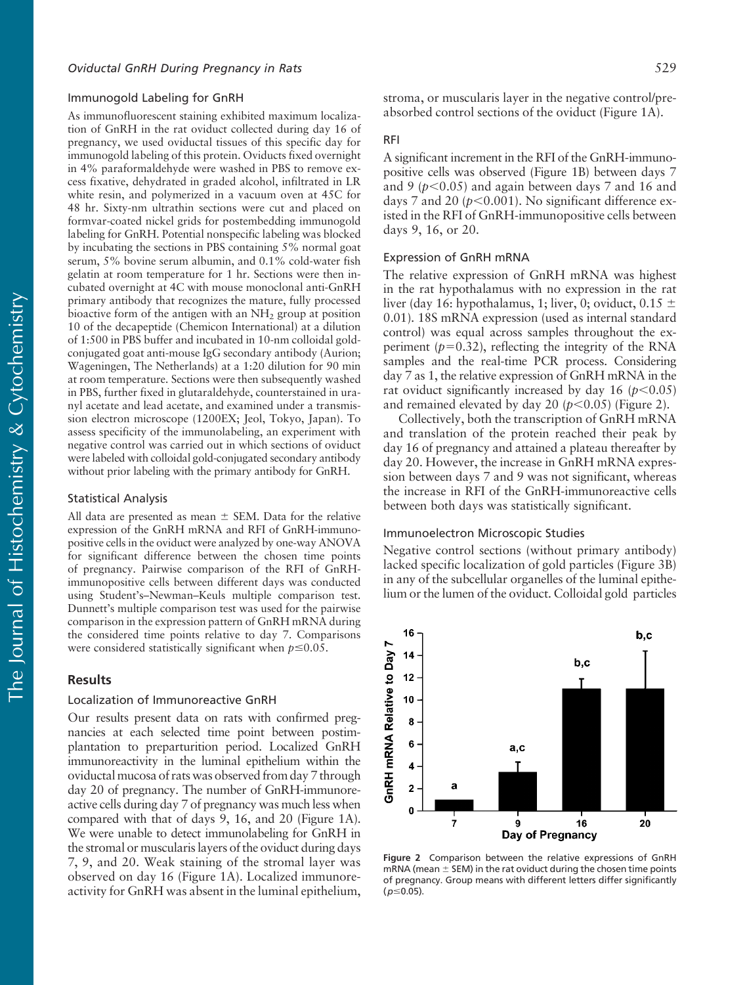## Oviductal GnRH During Pregnancy in Rats 529

#### Immunogold Labeling for GnRH

As immunofluorescent staining exhibited maximum localization of GnRH in the rat oviduct collected during day 16 of pregnancy, we used oviductal tissues of this specific day for immunogold labeling of this protein. Oviducts fixed overnight in 4% paraformaldehyde were washed in PBS to remove excess fixative, dehydrated in graded alcohol, infiltrated in LR white resin, and polymerized in a vacuum oven at 45C for 48 hr. Sixty-nm ultrathin sections were cut and placed on formvar-coated nickel grids for postembedding immunogold labeling for GnRH. Potential nonspecific labeling was blocked by incubating the sections in PBS containing 5% normal goat serum, 5% bovine serum albumin, and 0.1% cold-water fish gelatin at room temperature for 1 hr. Sections were then incubated overnight at 4C with mouse monoclonal anti-GnRH primary antibody that recognizes the mature, fully processed bioactive form of the antigen with an  $NH<sub>2</sub>$  group at position 10 of the decapeptide (Chemicon International) at a dilution of 1:500 in PBS buffer and incubated in 10-nm colloidal goldconjugated goat anti-mouse IgG secondary antibody (Aurion; Wageningen, The Netherlands) at a 1:20 dilution for 90 min at room temperature. Sections were then subsequently washed in PBS, further fixed in glutaraldehyde, counterstained in uranyl acetate and lead acetate, and examined under a transmission electron microscope (1200EX; Jeol, Tokyo, Japan). To assess specificity of the immunolabeling, an experiment with negative control was carried out in which sections of oviduct were labeled with colloidal gold-conjugated secondary antibody without prior labeling with the primary antibody for GnRH.

#### Statistical Analysis

All data are presented as mean  $\pm$  SEM. Data for the relative expression of the GnRH mRNA and RFI of GnRH-immunopositive cells in the oviduct were analyzed by one-way ANOVA for significant difference between the chosen time points of pregnancy. Pairwise comparison of the RFI of GnRHimmunopositive cells between different days was conducted using Student's–Newman–Keuls multiple comparison test. Dunnett's multiple comparison test was used for the pairwise comparison in the expression pattern of GnRH mRNA during the considered time points relative to day 7. Comparisons were considered statistically significant when  $p \le 0.05$ .

## Results

## Localization of Immunoreactive GnRH

Our results present data on rats with confirmed pregnancies at each selected time point between postimplantation to preparturition period. Localized GnRH immunoreactivity in the luminal epithelium within the oviductal mucosa of rats was observed from day 7 through day 20 of pregnancy. The number of GnRH-immunoreactive cells during day 7 of pregnancy was much less when compared with that of days 9, 16, and 20 (Figure 1A). We were unable to detect immunolabeling for GnRH in the stromal or muscularis layers of the oviduct during days 7, 9, and 20. Weak staining of the stromal layer was observed on day 16 (Figure 1A). Localized immunoreactivity for GnRH was absent in the luminal epithelium, stroma, or muscularis layer in the negative control/preabsorbed control sections of the oviduct (Figure 1A).

#### RFI

A significant increment in the RFI of the GnRH-immunopositive cells was observed (Figure 1B) between days 7 and 9 ( $p<0.05$ ) and again between days 7 and 16 and days 7 and 20 ( $p$ <0.001). No significant difference existed in the RFI of GnRH-immunopositive cells between days 9, 16, or 20.

#### Expression of GnRH mRNA

The relative expression of GnRH mRNA was highest in the rat hypothalamus with no expression in the rat liver (day 16: hypothalamus, 1; liver, 0; oviduct,  $0.15 \pm 0.00$ 0.01). 18S mRNA expression (used as internal standard control) was equal across samples throughout the experiment ( $p=0.32$ ), reflecting the integrity of the RNA samples and the real-time PCR process. Considering day 7 as 1, the relative expression of GnRH mRNA in the rat oviduct significantly increased by day 16 ( $p$ <0.05) and remained elevated by day 20  $(p<0.05)$  (Figure 2).

Collectively, both the transcription of GnRH mRNA and translation of the protein reached their peak by day 16 of pregnancy and attained a plateau thereafter by day 20. However, the increase in GnRH mRNA expression between days 7 and 9 was not significant, whereas the increase in RFI of the GnRH-immunoreactive cells between both days was statistically significant.

## Immunoelectron Microscopic Studies

Negative control sections (without primary antibody) lacked specific localization of gold particles (Figure 3B) in any of the subcellular organelles of the luminal epithelium or the lumen of the oviduct. Colloidal gold particles



Figure 2 Comparison between the relative expressions of GnRH mRNA (mean  $\pm$  SEM) in the rat oviduct during the chosen time points of pregnancy. Group means with different letters differ significantly  $(p \le 0.05)$ .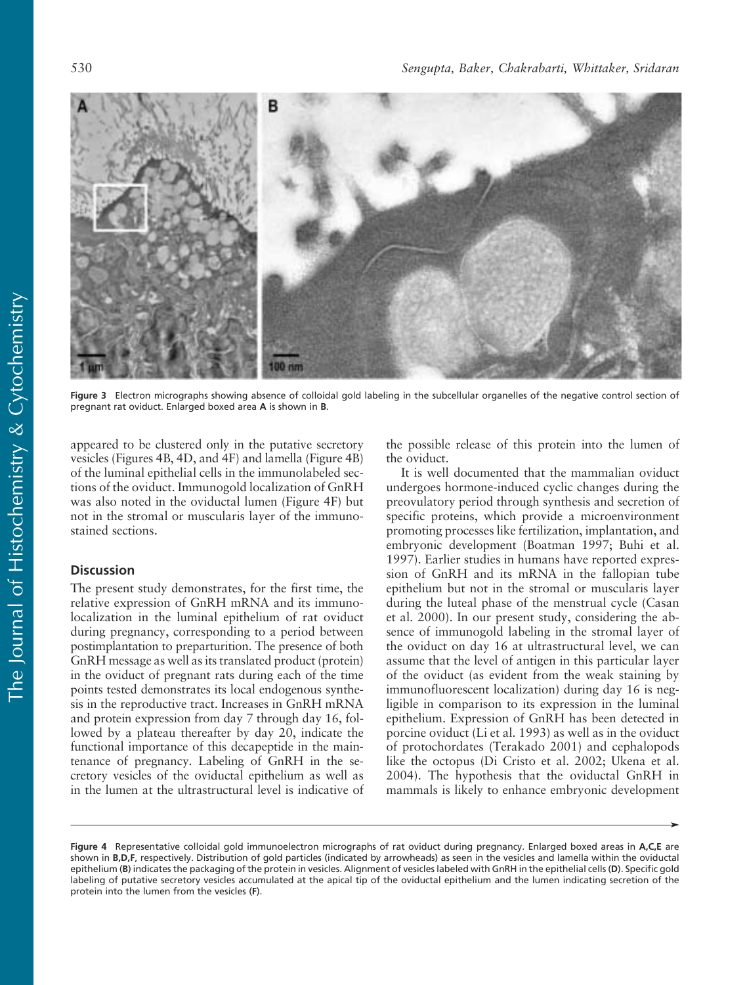

Figure 3 Electron micrographs showing absence of colloidal gold labeling in the subcellular organelles of the negative control section of pregnant rat oviduct. Enlarged boxed area A is shown in B.

appeared to be clustered only in the putative secretory vesicles (Figures 4B, 4D, and 4F) and lamella (Figure 4B) of the luminal epithelial cells in the immunolabeled sections of the oviduct. Immunogold localization of GnRH was also noted in the oviductal lumen (Figure 4F) but not in the stromal or muscularis layer of the immunostained sections.

## **Discussion**

The present study demonstrates, for the first time, the relative expression of GnRH mRNA and its immunolocalization in the luminal epithelium of rat oviduct during pregnancy, corresponding to a period between postimplantation to preparturition. The presence of both GnRH message as well as its translated product (protein) in the oviduct of pregnant rats during each of the time points tested demonstrates its local endogenous synthesis in the reproductive tract. Increases in GnRH mRNA and protein expression from day 7 through day 16, followed by a plateau thereafter by day 20, indicate the functional importance of this decapeptide in the maintenance of pregnancy. Labeling of GnRH in the secretory vesicles of the oviductal epithelium as well as in the lumen at the ultrastructural level is indicative of the possible release of this protein into the lumen of the oviduct.

It is well documented that the mammalian oviduct undergoes hormone-induced cyclic changes during the preovulatory period through synthesis and secretion of specific proteins, which provide a microenvironment promoting processes like fertilization, implantation, and embryonic development (Boatman 1997; Buhi et al. 1997). Earlier studies in humans have reported expression of GnRH and its mRNA in the fallopian tube epithelium but not in the stromal or muscularis layer during the luteal phase of the menstrual cycle (Casan et al. 2000). In our present study, considering the absence of immunogold labeling in the stromal layer of the oviduct on day 16 at ultrastructural level, we can assume that the level of antigen in this particular layer of the oviduct (as evident from the weak staining by immunofluorescent localization) during day 16 is negligible in comparison to its expression in the luminal epithelium. Expression of GnRH has been detected in porcine oviduct (Li et al. 1993) as well as in the oviduct of protochordates (Terakado 2001) and cephalopods like the octopus (Di Cristo et al. 2002; Ukena et al. 2004). The hypothesis that the oviductal GnRH in mammals is likely to enhance embryonic development

 $\blacktriangleright$ 

Figure 4 Representative colloidal gold immunoelectron micrographs of rat oviduct during pregnancy. Enlarged boxed areas in A,C,E are shown in B,D,F, respectively. Distribution of gold particles (indicated by arrowheads) as seen in the vesicles and lamella within the oviductal epithelium (B) indicates the packaging of the protein in vesicles. Alignment of vesicles labeled with GnRH in the epithelial cells (D). Specific gold labeling of putative secretory vesicles accumulated at the apical tip of the oviductal epithelium and the lumen indicating secretion of the protein into the lumen from the vesicles (F).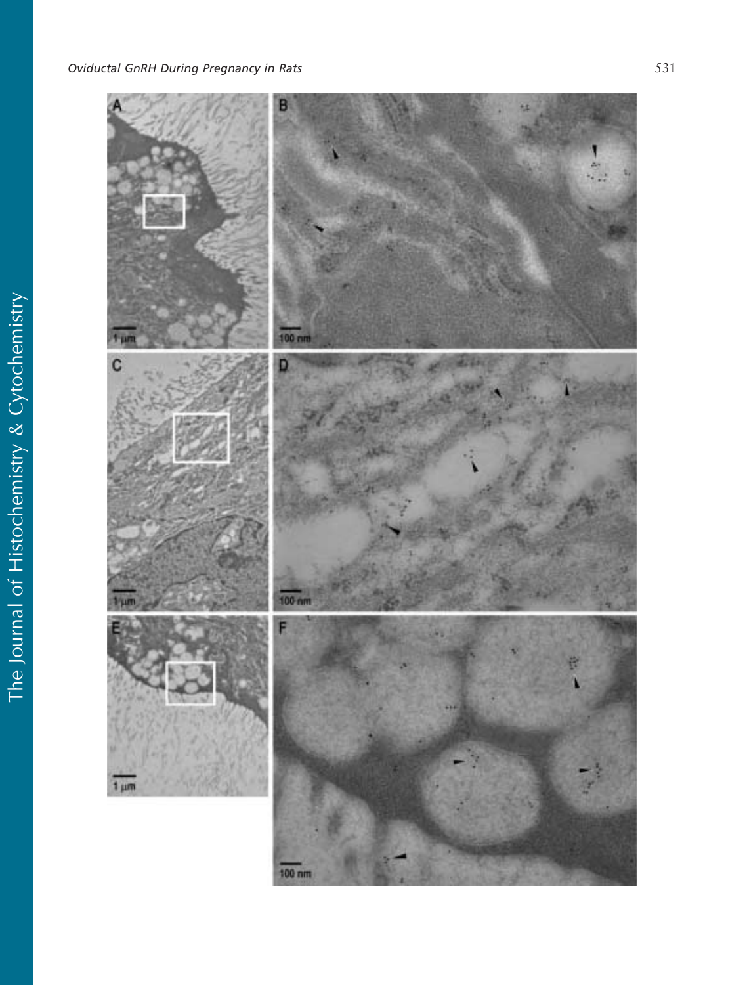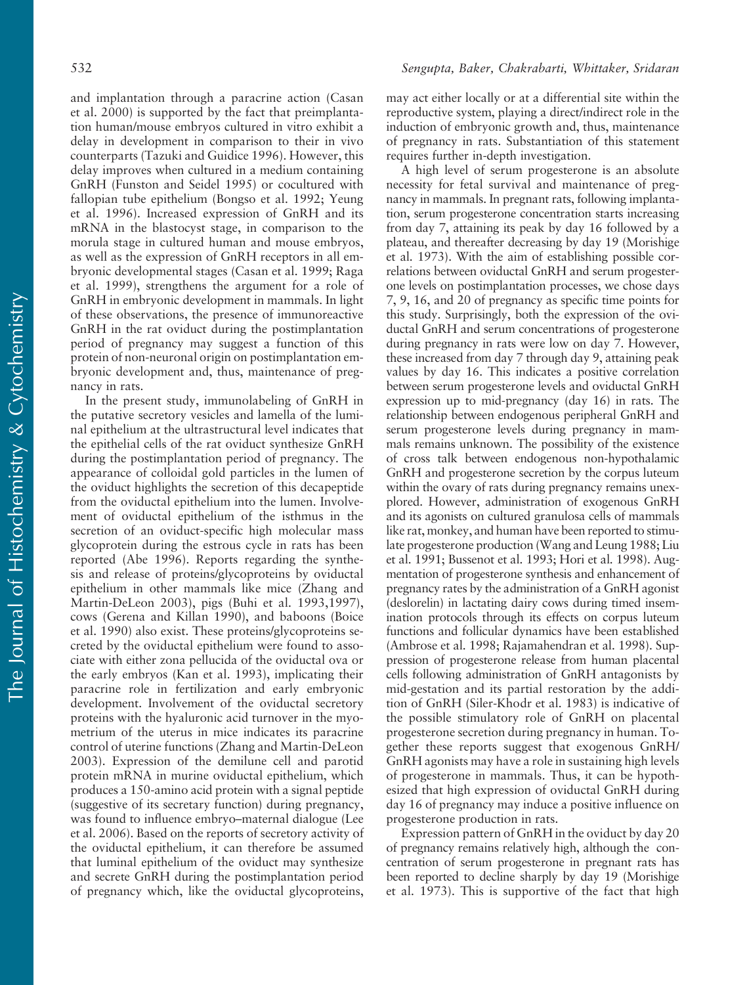and implantation through a paracrine action (Casan et al. 2000) is supported by the fact that preimplantation human/mouse embryos cultured in vitro exhibit a delay in development in comparison to their in vivo counterparts (Tazuki and Guidice 1996). However, this delay improves when cultured in a medium containing GnRH (Funston and Seidel 1995) or cocultured with fallopian tube epithelium (Bongso et al. 1992; Yeung et al. 1996). Increased expression of GnRH and its mRNA in the blastocyst stage, in comparison to the morula stage in cultured human and mouse embryos, as well as the expression of GnRH receptors in all embryonic developmental stages (Casan et al. 1999; Raga et al. 1999), strengthens the argument for a role of GnRH in embryonic development in mammals. In light of these observations, the presence of immunoreactive GnRH in the rat oviduct during the postimplantation period of pregnancy may suggest a function of this protein of non-neuronal origin on postimplantation embryonic development and, thus, maintenance of pregnancy in rats.

In the present study, immunolabeling of GnRH in the putative secretory vesicles and lamella of the luminal epithelium at the ultrastructural level indicates that the epithelial cells of the rat oviduct synthesize GnRH during the postimplantation period of pregnancy. The appearance of colloidal gold particles in the lumen of the oviduct highlights the secretion of this decapeptide from the oviductal epithelium into the lumen. Involvement of oviductal epithelium of the isthmus in the secretion of an oviduct-specific high molecular mass glycoprotein during the estrous cycle in rats has been reported (Abe 1996). Reports regarding the synthesis and release of proteins/glycoproteins by oviductal epithelium in other mammals like mice (Zhang and Martin-DeLeon 2003), pigs (Buhi et al. 1993,1997), cows (Gerena and Killan 1990), and baboons (Boice et al. 1990) also exist. These proteins/glycoproteins secreted by the oviductal epithelium were found to associate with either zona pellucida of the oviductal ova or the early embryos (Kan et al. 1993), implicating their paracrine role in fertilization and early embryonic development. Involvement of the oviductal secretory proteins with the hyaluronic acid turnover in the myometrium of the uterus in mice indicates its paracrine control of uterine functions (Zhang and Martin-DeLeon 2003). Expression of the demilune cell and parotid protein mRNA in murine oviductal epithelium, which produces a 150-amino acid protein with a signal peptide (suggestive of its secretary function) during pregnancy, was found to influence embryo–maternal dialogue (Lee et al. 2006). Based on the reports of secretory activity of the oviductal epithelium, it can therefore be assumed that luminal epithelium of the oviduct may synthesize and secrete GnRH during the postimplantation period of pregnancy which, like the oviductal glycoproteins, may act either locally or at a differential site within the reproductive system, playing a direct/indirect role in the induction of embryonic growth and, thus, maintenance of pregnancy in rats. Substantiation of this statement requires further in-depth investigation.

A high level of serum progesterone is an absolute necessity for fetal survival and maintenance of pregnancy in mammals. In pregnant rats, following implantation, serum progesterone concentration starts increasing from day 7, attaining its peak by day 16 followed by a plateau, and thereafter decreasing by day 19 (Morishige et al. 1973). With the aim of establishing possible correlations between oviductal GnRH and serum progesterone levels on postimplantation processes, we chose days 7, 9, 16, and 20 of pregnancy as specific time points for this study. Surprisingly, both the expression of the oviductal GnRH and serum concentrations of progesterone during pregnancy in rats were low on day 7. However, these increased from day 7 through day 9, attaining peak values by day 16. This indicates a positive correlation between serum progesterone levels and oviductal GnRH expression up to mid-pregnancy (day 16) in rats. The relationship between endogenous peripheral GnRH and serum progesterone levels during pregnancy in mammals remains unknown. The possibility of the existence of cross talk between endogenous non-hypothalamic GnRH and progesterone secretion by the corpus luteum within the ovary of rats during pregnancy remains unexplored. However, administration of exogenous GnRH and its agonists on cultured granulosa cells of mammals like rat, monkey, and human have been reported to stimulate progesterone production (Wang and Leung 1988; Liu et al. 1991; Bussenot et al. 1993; Hori et al. 1998). Augmentation of progesterone synthesis and enhancement of pregnancy rates by the administration of a GnRH agonist (deslorelin) in lactating dairy cows during timed insemination protocols through its effects on corpus luteum functions and follicular dynamics have been established (Ambrose et al. 1998; Rajamahendran et al. 1998). Suppression of progesterone release from human placental cells following administration of GnRH antagonists by mid-gestation and its partial restoration by the addition of GnRH (Siler-Khodr et al. 1983) is indicative of the possible stimulatory role of GnRH on placental progesterone secretion during pregnancy in human. Together these reports suggest that exogenous GnRH/ GnRH agonists may have a role in sustaining high levels of progesterone in mammals. Thus, it can be hypothesized that high expression of oviductal GnRH during day 16 of pregnancy may induce a positive influence on progesterone production in rats.

Expression pattern of GnRH in the oviduct by day 20 of pregnancy remains relatively high, although the concentration of serum progesterone in pregnant rats has been reported to decline sharply by day 19 (Morishige et al. 1973). This is supportive of the fact that high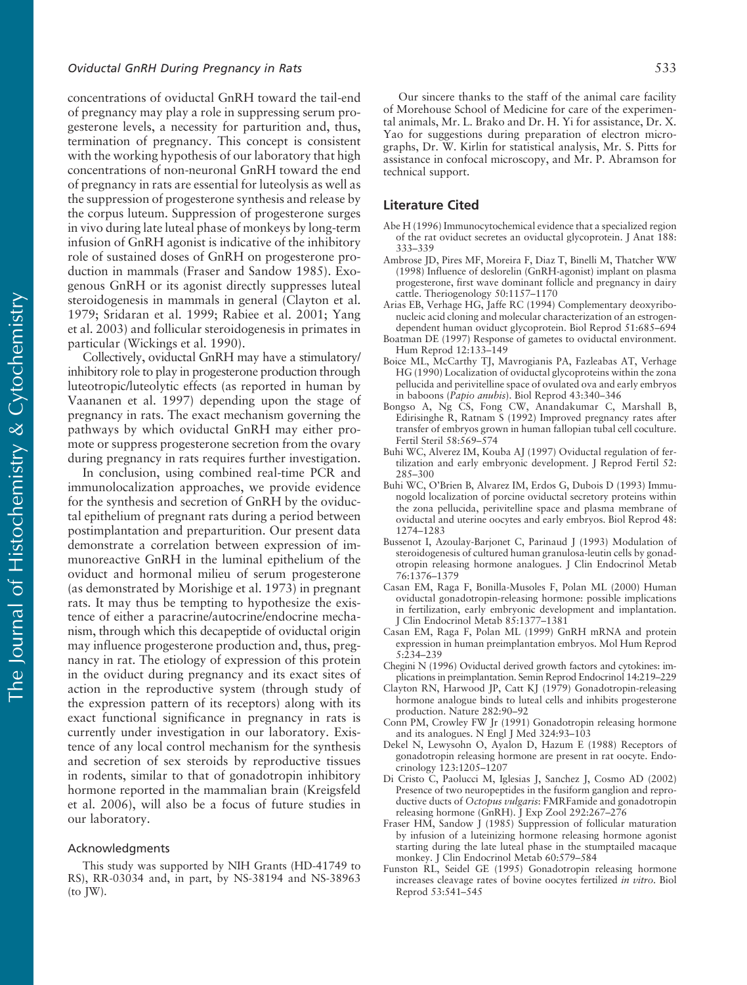#### Oviductal GnRH During Pregnancy in Rats 533

concentrations of oviductal GnRH toward the tail-end of pregnancy may play a role in suppressing serum progesterone levels, a necessity for parturition and, thus, termination of pregnancy. This concept is consistent with the working hypothesis of our laboratory that high concentrations of non-neuronal GnRH toward the end of pregnancy in rats are essential for luteolysis as well as the suppression of progesterone synthesis and release by the corpus luteum. Suppression of progesterone surges in vivo during late luteal phase of monkeys by long-term infusion of GnRH agonist is indicative of the inhibitory role of sustained doses of GnRH on progesterone production in mammals (Fraser and Sandow 1985). Exogenous GnRH or its agonist directly suppresses luteal steroidogenesis in mammals in general (Clayton et al. 1979; Sridaran et al. 1999; Rabiee et al. 2001; Yang et al. 2003) and follicular steroidogenesis in primates in particular (Wickings et al. 1990).

Collectively, oviductal GnRH may have a stimulatory/ inhibitory role to play in progesterone production through luteotropic/luteolytic effects (as reported in human by Vaananen et al. 1997) depending upon the stage of pregnancy in rats. The exact mechanism governing the pathways by which oviductal GnRH may either promote or suppress progesterone secretion from the ovary during pregnancy in rats requires further investigation.

In conclusion, using combined real-time PCR and immunolocalization approaches, we provide evidence for the synthesis and secretion of GnRH by the oviductal epithelium of pregnant rats during a period between postimplantation and preparturition. Our present data demonstrate a correlation between expression of immunoreactive GnRH in the luminal epithelium of the oviduct and hormonal milieu of serum progesterone (as demonstrated by Morishige et al. 1973) in pregnant rats. It may thus be tempting to hypothesize the existence of either a paracrine/autocrine/endocrine mechanism, through which this decapeptide of oviductal origin may influence progesterone production and, thus, pregnancy in rat. The etiology of expression of this protein in the oviduct during pregnancy and its exact sites of action in the reproductive system (through study of the expression pattern of its receptors) along with its exact functional significance in pregnancy in rats is currently under investigation in our laboratory. Existence of any local control mechanism for the synthesis and secretion of sex steroids by reproductive tissues in rodents, similar to that of gonadotropin inhibitory hormone reported in the mammalian brain (Kreigsfeld et al. 2006), will also be a focus of future studies in our laboratory.

#### Acknowledgments

This study was supported by NIH Grants (HD-41749 to RS), RR-03034 and, in part, by NS-38194 and NS-38963 (to JW).

Our sincere thanks to the staff of the animal care facility of Morehouse School of Medicine for care of the experimental animals, Mr. L. Brako and Dr. H. Yi for assistance, Dr. X. Yao for suggestions during preparation of electron micrographs, Dr. W. Kirlin for statistical analysis, Mr. S. Pitts for assistance in confocal microscopy, and Mr. P. Abramson for technical support.

# Literature Cited

- Abe H (1996) Immunocytochemical evidence that a specialized region of the rat oviduct secretes an oviductal glycoprotein. J Anat 188: 333–339
- Ambrose JD, Pires MF, Moreira F, Diaz T, Binelli M, Thatcher WW (1998) Influence of deslorelin (GnRH-agonist) implant on plasma progesterone, first wave dominant follicle and pregnancy in dairy cattle. Theriogenology 50:1157–1170
- Arias EB, Verhage HG, Jaffe RC (1994) Complementary deoxyribonucleic acid cloning and molecular characterization of an estrogendependent human oviduct glycoprotein. Biol Reprod 51:685–694
- Boatman DE (1997) Response of gametes to oviductal environment. Hum Reprod 12:133–149
- Boice ML, McCarthy TJ, Mavrogianis PA, Fazleabas AT, Verhage HG (1990) Localization of oviductal glycoproteins within the zona pellucida and perivitelline space of ovulated ova and early embryos in baboons (Papio anubis). Biol Reprod 43:340–346
- Bongso A, Ng CS, Fong CW, Anandakumar C, Marshall B, Edirisinghe R, Ratnam S (1992) Improved pregnancy rates after transfer of embryos grown in human fallopian tubal cell coculture. Fertil Steril 58:569–574
- Buhi WC, Alverez IM, Kouba AJ (1997) Oviductal regulation of fertilization and early embryonic development. J Reprod Fertil 52: 285–300
- Buhi WC, O'Brien B, Alvarez IM, Erdos G, Dubois D (1993) Immunogold localization of porcine oviductal secretory proteins within the zona pellucida, perivitelline space and plasma membrane of oviductal and uterine oocytes and early embryos. Biol Reprod 48: 1274–1283
- Bussenot I, Azoulay-Barjonet C, Parinaud J (1993) Modulation of steroidogenesis of cultured human granulosa-leutin cells by gonadotropin releasing hormone analogues. J Clin Endocrinol Metab 76:1376–1379
- Casan EM, Raga F, Bonilla-Musoles F, Polan ML (2000) Human oviductal gonadotropin-releasing hormone: possible implications in fertilization, early embryonic development and implantation. J Clin Endocrinol Metab 85:1377–1381
- Casan EM, Raga F, Polan ML (1999) GnRH mRNA and protein expression in human preimplantation embryos. Mol Hum Reprod 5:234–239
- Chegini N (1996) Oviductal derived growth factors and cytokines: implications in preimplantation. Semin Reprod Endocrinol 14:219–229
- Clayton RN, Harwood JP, Catt KJ (1979) Gonadotropin-releasing hormone analogue binds to luteal cells and inhibits progesterone production. Nature 282:90–92
- Conn PM, Crowley FW Jr (1991) Gonadotropin releasing hormone and its analogues. N Engl J Med 324:93–103
- Dekel N, Lewysohn O, Ayalon D, Hazum E (1988) Receptors of gonadotropin releasing hormone are present in rat oocyte. Endocrinology 123:1205–1207
- Di Cristo C, Paolucci M, Iglesias J, Sanchez J, Cosmo AD (2002) Presence of two neuropeptides in the fusiform ganglion and reproductive ducts of Octopus vulgaris: FMRFamide and gonadotropin releasing hormone (GnRH). J Exp Zool 292:267–276
- Fraser HM, Sandow J (1985) Suppression of follicular maturation by infusion of a luteinizing hormone releasing hormone agonist starting during the late luteal phase in the stumptailed macaque monkey. J Clin Endocrinol Metab 60:579–584
- Funston RL, Seidel GE (1995) Gonadotropin releasing hormone increases cleavage rates of bovine oocytes fertilized in vitro. Biol Reprod 53:541–545